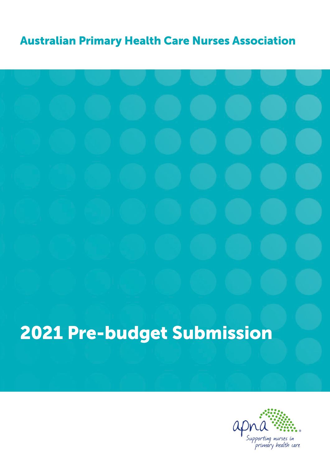#### Australian Primary Health Care Nurses Association

# 2021 Pre-budget Submission

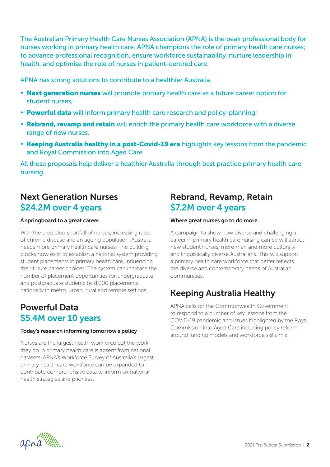The Australian Primary Health Care Nurses Association (APNA) is the peak professional body for nurses working in primary health care. APNA champions the role of primary health care nurses; to advance professional recognition, ensure workforce sustainability, nurture leadership in health, and optimise the role of nurses in patient-centred care.

APNA has strong solutions to contribute to a healthier Australia.

- Next generation nurses will promote primary health care as a future career option for student nurses;
- Powerful data will inform primary health care research and policy-planning;
- Rebrand, revamp and retain will enrich the primary health care workforce with a diverse range of new nurses.
- Keeping Australia healthy in a post-Covid-19 era highlights key lessons from the pandemic and Royal Commission into Aged Care

All these proposals help deliver a healthier Australia through best practice primary health care nursing.

#### Next Generation Nurses \$24.2M over 4 years

#### A springboard to a great career

With the predicted shortfall of nurses, increasing rates of chronic disease and an ageing population, Australia needs more primary health care nurses. The building blocks now exist to establish a national system providing student placements in primary health care, influencing their future career choices. The system can increase the number of placement opportunities for undergraduate and postgraduate students by 8,000 placements nationally in metro, urban, rural and remote settings.

#### Powerful Data \$5.4M over 10 years

#### Today's research informing tomorrow's policy

Nurses are the largest health workforce but the work they do in primary health care is absent from national datasets. APNA's Workforce Survey of Australia's largest primary health care workforce can be expanded to contribute comprehensive data to inform six national health strategies and priorities.

#### Rebrand, Revamp, Retain \$7.2M over 4 years

#### Where great nurses go to do more.

A campaign to show how diverse and challenging a career in primary health care nursing can be will attract new student nurses, more men and more culturally and linguistically diverse Australians. This will support a primary health care workforce that better reflects the diverse and contemporary needs of Australian communities.

#### Keeping Australia Healthy

APNA calls on the Commonwealth Government to respond to a number of key lessons from the COVID-19 pandemic and issues highlighted by the Royal Commission into Aged Care including policy reform around funding models and workforce skills mix.

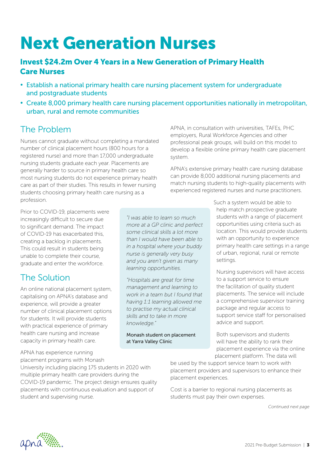# Next Generation Nurses

#### Invest \$24.2m Over 4 Years in a New Generation of Primary Health Care Nurses

- Establish a national primary health care nursing placement system for undergraduate and postgraduate students
- Create 8,000 primary health care nursing placement opportunities nationally in metropolitan, urban, rural and remote communities

#### The Problem

Nurses cannot graduate without completing a mandated number of clinical placement hours (800 hours for a registered nurse) and more than 17,000 undergraduate nursing students graduate each year. Placements are generally harder to source in primary health care so most nursing students do not experience primary health care as part of their studies. This results in fewer nursing students choosing primary health care nursing as a profession.

APNA, in consultation with universities, TAFEs, PHC employers, Rural Workforce Agencies and other professional peak groups, will build on this model to develop a flexible online primary health care placement system.

APNA's extensive primary health care nursing database can provide 8,000 additional nursing placements and match nursing students to high-quality placements with experienced registered nurses and nurse practitioners.

Prior to COVID-19, placements were increasingly difficult to secure due to significant demand. The impact of COVID-19 has exacerbated this, creating a backlog in placements. This could result in students being unable to complete their course, graduate and enter the workforce.

#### The Solution

An online national placement system, capitalising on APNA's database and experience, will provide a greater number of clinical placement options for students. It will provide students with practical experience of primary health care nursing and increase capacity in primary health care.

APNA has experience running placement programs with Monash

University including placing 175 students in 2020 with multiple primary health care providers during the COVID-19 pandemic. The project design ensures quality placements with continuous evaluation and support of student and supervising nurse.

*"I was able to learn so much more at a GP clinic and perfect some clinical skills a lot more than I would have been able to in a hospital where your buddy nurse is generally very busy and you aren't given as many learning opportunities.* 

*"Hospitals are great for time management and learning to work in a team but I found that having 1:1 learning allowed me to practise my actual clinical skills and to take in more knowledge."* 

Monash student on placement at Yarra Valley Clinic

Such a system would be able to help match prospective graduate students with a range of placement opportunities using criteria such as location. This would provide students with an opportunity to experience primary health care settings in a range of urban, regional, rural or remote settings.

Nursing supervisors will have access to a support service to ensure the facilitation of quality student placements. The service will include a comprehensive supervisor training package and regular access to support service staff for personalised advice and support.

Both supervisors and students will have the ability to rank their placement experience via the online placement platform. The data will

be used by the support service team to work with placement providers and supervisors to enhance their placement experiences.

Cost is a barrier to regional nursing placements as students must pay their own expenses.

*Continued next page*

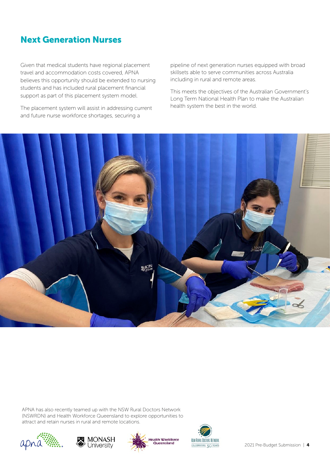#### Next Generation Nurses

Given that medical students have regional placement travel and accommodation costs covered, APNA believes this opportunity should be extended to nursing students and has included rural placement financial support as part of this placement system model.

The placement system will assist in addressing current and future nurse workforce shortages, securing a

pipeline of next generation nurses equipped with broad skillsets able to serve communities across Australia including in rural and remote areas.

This meets the objectives of the Australian Government's Long Term National Health Plan to make the Australian health system the best in the world.



APNA has also recently teamed up with the NSW Rural Doctors Network (NSWRDN) and Health Workforce Queensland to explore opportunities to attract and retain nurses in rural and remote locations.







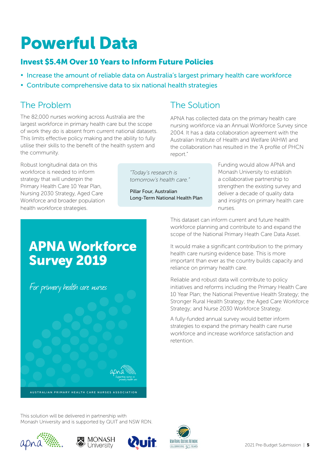# Powerful Data

#### Invest \$5.4M Over 10 Years to Inform Future Policies

• Increase the amount of reliable data on Australia's largest primary health care workforce

The Solution

• Contribute comprehensive data to six national health strategies

#### The Problem

The 82,000 nurses working across Australia are the largest workforce in primary health care but the scope of work they do is absent from current national datasets. This limits effective policy making and the ability to fully utilise their skills to the benefit of the health system and the community.

Robust longitudinal data on this workforce is needed to inform strategy that will underpin the Primary Health Care 10 Year Plan, Nursing 2030 Strategy, Aged Care Workforce and broader population health workforce strategies.

*"Today's research is tomorrow's health care."* 

Pillar Four, Australian Long-Term National Health Plan

report."

Funding would allow APNA and Monash University to establish a collaborative partnership to strengthen the existing survey and deliver a decade of quality data and insights on primary health care nurses.

This dataset can inform current and future health workforce planning and contribute to and expand the scope of the National Primary Heath Care Data Asset.

APNA has collected data on the primary health care nursing workforce via an Annual Workforce Survey since 2004. It has a data collaboration agreement with the Australian Institute of Health and Welfare (AIHW) and the collaboration has resulted in the 'A profile of PHCN

It would make a significant contribution to the primary health care nursing evidence base. This is more important than ever as the country builds capacity and reliance on primary health care.

Reliable and robust data will contribute to policy initiatives and reforms including the Primary Health Care 10 Year Plan; the National Preventive Health Strategy; the Stronger Rural Health Strategy; the Aged Care Workforce Strategy; and Nurse 2030 Workforce Strategy.

A fully-funded annual survey would better inform strategies to expand the primary health care nurse workforce and increase workforce satisfaction and retention.

#### APNA Workforce Survey 2019

For primary health care nurses

This solution will be delivered in partnership with Monash University and is supported by QUIT and NSW RDN.

AUSTRALIAN PRIMARY HEALTH CARE NURSES ASSOCIATION







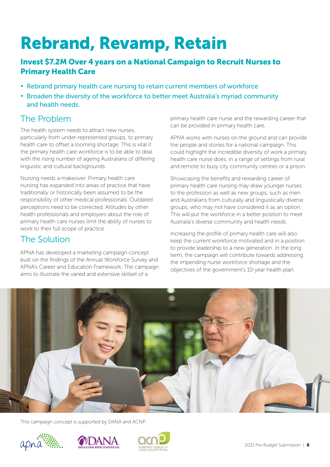# Rebrand, Revamp, Retain

#### Invest \$7.2M Over 4 years on a National Campaign to Recruit Nurses to Primary Health Care

- Rebrand primary health care nursing to retain current members of workforce
- Broaden the diversity of the workforce to better meet Australia's myriad community and health needs.

#### The Problem

The health system needs to attract new nurses, particularly from under-represented groups, to primary health care to offset a looming shortage. This is vital if the primary health care workforce is to be able to deal with the rising number of ageing Australians of differing linguistic and cultural backgrounds.

Nursing needs a makeover. Primary health care nursing has expanded into areas of practice that have traditionally or historically been assumed to be the responsibility of other medical professionals. Outdated perceptions need to be corrected. Attitudes by other health professionals and employers about the role of primary health care nurses limit the ability of nurses to work to their full scope of practice.

#### The Solution

APNA has developed a marketing campaign concept built on the findings of the Annual Workforce Survey and APNA's Career and Education Framework. The campaign aims to illustrate the varied and extensive skillset of a

primary health care nurse and the rewarding career that can be provided in primary health care.

APNA works with nurses on the ground and can provide the people and stories for a national campaign. This could highlight the incredible diversity of work a primary health care nurse does, in a range of settings from rural and remote to busy city community centres or a prison.

Showcasing the benefits and rewarding career of primary health care nursing may draw younger nurses to the profession as well as new groups, such as men and Australians from culturally and linguistically diverse groups, who may not have considered it as an option. This will put the workforce in a better position to meet Australia's diverse community and health needs.

Increasing the profile of primary health care will also keep the current workforce motivated and in a position to provide leadership to a new generation. In the long term, the campaign will contribute towards addressing the impending nurse workforce shortage and the objectives of the government's 10-year health plan.



This campaign concept is supported by DANA and ACNP.





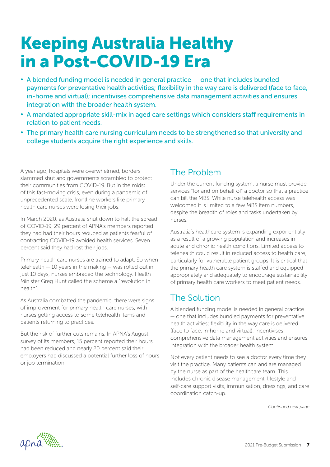### Keeping Australia Healthy in a Post-COVID-19 Era

- A blended funding model is needed in general practice one that includes bundled payments for preventative health activities; flexibility in the way care is delivered (face to face, in-home and virtual); incentivises comprehensive data management activities and ensures integration with the broader health system.
- A mandated appropriate skill-mix in aged care settings which considers staff requirements in relation to patient needs.
- The primary health care nursing curriculum needs to be strengthened so that university and college students acquire the right experience and skills.

A year ago, hospitals were overwhelmed, borders slammed shut and governments scrambled to protect their communities from COVID-19. But in the midst of this fast-moving crisis, even during a pandemic of unprecedented scale, frontline workers like primary health care nurses were losing their jobs.

In March 2020, as Australia shut down to halt the spread of COVID-19, 29 percent of APNA's members reported they had had their hours reduced as patients fearful of contracting COVID-19 avoided health services. Seven percent said they had lost their jobs.

Primary health care nurses are trained to adapt. So when telehealth — 10 years in the making — was rolled out in just 10 days, nurses embraced the technology. Health Minister Greg Hunt called the scheme a "revolution in health".

As Australia combatted the pandemic, there were signs of improvement for primary health care nurses, with nurses getting access to some telehealth items and patients returning to practices.

But the risk of further cuts remains. In APNA's August survey of its members, 15 percent reported their hours had been reduced and nearly 20 percent said their employers had discussed a potential further loss of hours or job termination.

#### The Problem

Under the current funding system, a nurse must provide services "for and on behalf of" a doctor so that a practice can bill the MBS. While nurse telehealth access was welcomed it is limited to a few MBS item numbers despite the breadth of roles and tasks undertaken by nurses.

Australia's healthcare system is expanding exponentially as a result of a growing population and increases in acute and chronic health conditions. Limited access to telehealth could result in reduced access to health care, particularly for vulnerable patient groups. It is critical that the primary health care system is staffed and equipped appropriately and adequately to encourage sustainability of primary health care workers to meet patient needs.

#### The Solution

A blended funding model is needed in general practice — one that includes bundled payments for preventative health activities; flexibility in the way care is delivered (face to face, in-home and virtual); incentivises comprehensive data management activities and ensures integration with the broader health system.

Not every patient needs to see a doctor every time they visit the practice. Many patients can and are managed by the nurse as part of the healthcare team. This includes chronic disease management, lifestyle and self-care support visits, immunisation, dressings, and care coordination catch-up.

*Continued next page*

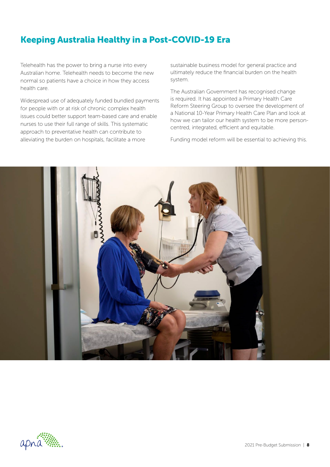#### Keeping Australia Healthy in a Post-COVID-19 Era

Telehealth has the power to bring a nurse into every Australian home. Telehealth needs to become the new normal so patients have a choice in how they access health care.

Widespread use of adequately funded bundled payments for people with or at risk of chronic complex health issues could better support team-based care and enable nurses to use their full range of skills. This systematic approach to preventative health can contribute to alleviating the burden on hospitals, facilitate a more

sustainable business model for general practice and ultimately reduce the financial burden on the health system.

The Australian Government has recognised change is required. It has appointed a Primary Health Care Reform Steering Group to oversee the development of a National 10-Year Primary Health Care Plan and look at how we can tailor our health system to be more personcentred, integrated, efficient and equitable.

Funding model reform will be essential to achieving this.



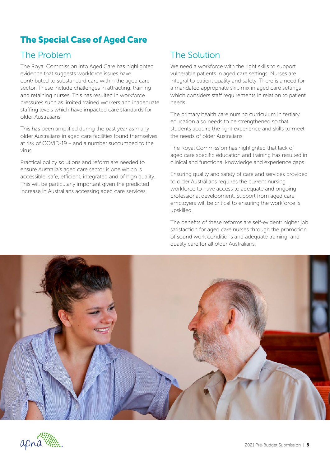#### The Special Case of Aged Care

#### The Problem

The Royal Commission into Aged Care has highlighted evidence that suggests workforce issues have contributed to substandard care within the aged care sector. These include challenges in attracting, training and retaining nurses. This has resulted in workforce pressures such as limited trained workers and inadequate staffing levels which have impacted care standards for older Australians.

This has been amplified during the past year as many older Australians in aged care facilities found themselves at risk of COVID-19 – and a number succumbed to the virus.

Practical policy solutions and reform are needed to ensure Australia's aged care sector is one which is accessible, safe, efficient, integrated and of high quality. This will be particularly important given the predicted increase in Australians accessing aged care services.

#### The Solution

We need a workforce with the right skills to support vulnerable patients in aged care settings. Nurses are integral to patient quality and safety. There is a need for a mandated appropriate skill-mix in aged care settings which considers staff requirements in relation to patient needs.

The primary health care nursing curriculum in tertiary education also needs to be strengthened so that students acquire the right experience and skills to meet the needs of older Australians.

The Royal Commission has highlighted that lack of aged care specific education and training has resulted in clinical and functional knowledge and experience gaps.

Ensuring quality and safety of care and services provided to older Australians requires the current nursing workforce to have access to adequate and ongoing professional development. Support from aged care employers will be critical to ensuring the workforce is upskilled.

The benefits of these reforms are self-evident: higher job satisfaction for aged care nurses through the promotion of sound work conditions and adequate training; and quality care for all older Australians.